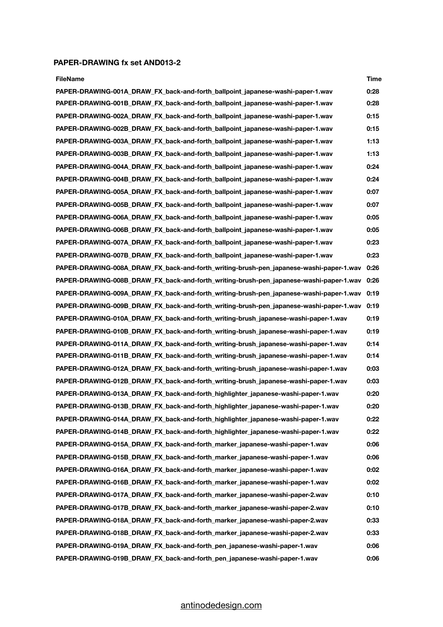## **PAPER-DRAWING fx set AND013-2**

| <b>FileName</b>                                                                        | Time |
|----------------------------------------------------------------------------------------|------|
| PAPER-DRAWING-001A_DRAW_FX_back-and-forth_ballpoint_japanese-washi-paper-1.wav         | 0:28 |
| PAPER-DRAWING-001B_DRAW_FX_back-and-forth_ballpoint_japanese-washi-paper-1.wav         | 0:28 |
| PAPER-DRAWING-002A_DRAW_FX_back-and-forth_ballpoint_japanese-washi-paper-1.wav         | 0:15 |
| PAPER-DRAWING-002B_DRAW_FX_back-and-forth_ballpoint_japanese-washi-paper-1.wav         | 0:15 |
| PAPER-DRAWING-003A_DRAW_FX_back-and-forth_ballpoint_japanese-washi-paper-1.wav         | 1:13 |
| PAPER-DRAWING-003B_DRAW_FX_back-and-forth_ballpoint_japanese-washi-paper-1.wav         | 1:13 |
| PAPER-DRAWING-004A_DRAW_FX_back-and-forth_ballpoint_japanese-washi-paper-1.wav         | 0:24 |
| PAPER-DRAWING-004B_DRAW_FX_back-and-forth_ballpoint_japanese-washi-paper-1.wav         | 0:24 |
| PAPER-DRAWING-005A_DRAW_FX_back-and-forth_ballpoint_japanese-washi-paper-1.wav         | 0:07 |
| PAPER-DRAWING-005B_DRAW_FX_back-and-forth_ballpoint_japanese-washi-paper-1.wav         | 0:07 |
| PAPER-DRAWING-006A_DRAW_FX_back-and-forth_ballpoint_japanese-washi-paper-1.wav         | 0:05 |
| PAPER-DRAWING-006B_DRAW_FX_back-and-forth_ballpoint_japanese-washi-paper-1.wav         | 0:05 |
| PAPER-DRAWING-007A_DRAW_FX_back-and-forth_ballpoint_japanese-washi-paper-1.wav         | 0:23 |
| PAPER-DRAWING-007B DRAW FX back-and-forth ballpoint japanese-washi-paper-1.wav         | 0:23 |
| PAPER-DRAWING-008A_DRAW_FX_back-and-forth_writing-brush-pen_japanese-washi-paper-1.wav | 0:26 |
| PAPER-DRAWING-008B_DRAW_FX_back-and-forth_writing-brush-pen_japanese-washi-paper-1.wav | 0:26 |
| PAPER-DRAWING-009A_DRAW_FX_back-and-forth_writing-brush-pen_japanese-washi-paper-1.wav | 0:19 |
| PAPER-DRAWING-009B_DRAW_FX_back-and-forth_writing-brush-pen_japanese-washi-paper-1.wav | 0:19 |
| PAPER-DRAWING-010A_DRAW_FX_back-and-forth_writing-brush_japanese-washi-paper-1.wav     | 0:19 |
| PAPER-DRAWING-010B_DRAW_FX_back-and-forth_writing-brush_japanese-washi-paper-1.wav     | 0:19 |
| PAPER-DRAWING-011A DRAW FX back-and-forth writing-brush japanese-washi-paper-1.wav     | 0:14 |
| PAPER-DRAWING-011B_DRAW_FX_back-and-forth_writing-brush_japanese-washi-paper-1.wav     | 0:14 |
| PAPER-DRAWING-012A DRAW FX back-and-forth writing-brush japanese-washi-paper-1.wav     | 0:03 |
| PAPER-DRAWING-012B_DRAW_FX_back-and-forth_writing-brush_japanese-washi-paper-1.wav     | 0:03 |
| PAPER-DRAWING-013A_DRAW_FX_back-and-forth_highlighter_japanese-washi-paper-1.wav       | 0:20 |
| PAPER-DRAWING-013B_DRAW_FX_back-and-forth_highlighter_japanese-washi-paper-1.wav       | 0:20 |
| PAPER-DRAWING-014A DRAW FX back-and-forth highlighter japanese-washi-paper-1.wav       | 0:22 |
| PAPER-DRAWING-014B_DRAW_FX_back-and-forth_highlighter_japanese-washi-paper-1.wav       | 0:22 |
| PAPER-DRAWING-015A DRAW FX back-and-forth marker japanese-washi-paper-1.wav            | 0:06 |
| PAPER-DRAWING-015B DRAW FX back-and-forth marker japanese-washi-paper-1.wav            | 0:06 |
| PAPER-DRAWING-016A_DRAW_FX_back-and-forth_marker_japanese-washi-paper-1.wav            | 0:02 |
| PAPER-DRAWING-016B_DRAW_FX_back-and-forth_marker_japanese-washi-paper-1.wav            | 0:02 |
| PAPER-DRAWING-017A DRAW FX back-and-forth marker japanese-washi-paper-2.wav            | 0:10 |
| PAPER-DRAWING-017B_DRAW_FX_back-and-forth_marker_japanese-washi-paper-2.wav            | 0:10 |
| PAPER-DRAWING-018A_DRAW_FX_back-and-forth_marker_japanese-washi-paper-2.wav            | 0:33 |
| PAPER-DRAWING-018B DRAW FX back-and-forth marker japanese-washi-paper-2.wav            | 0:33 |
| PAPER-DRAWING-019A_DRAW_FX_back-and-forth_pen_japanese-washi-paper-1.wav               | 0:06 |
| PAPER-DRAWING-019B_DRAW_FX_back-and-forth_pen_japanese-washi-paper-1.wav               | 0:06 |

## [antinodedesign.com](http://antinodedesign.com)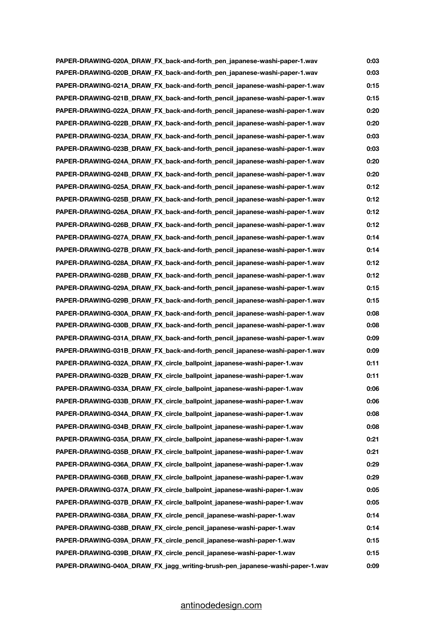| PAPER-DRAWING-020A_DRAW_FX_back-and-forth_pen_japanese-washi-paper-1.wav     | 0:03 |
|------------------------------------------------------------------------------|------|
| PAPER-DRAWING-020B_DRAW_FX_back-and-forth_pen_japanese-washi-paper-1.wav     | 0:03 |
| PAPER-DRAWING-021A DRAW FX back-and-forth pencil japanese-washi-paper-1.wav  | 0:15 |
| PAPER-DRAWING-021B_DRAW_FX_back-and-forth_pencil_japanese-washi-paper-1.wav  | 0:15 |
| PAPER-DRAWING-022A_DRAW_FX_back-and-forth_pencil_japanese-washi-paper-1.wav  | 0:20 |
| PAPER-DRAWING-022B DRAW FX back-and-forth pencil japanese-washi-paper-1.wav  | 0:20 |
| PAPER-DRAWING-023A_DRAW_FX_back-and-forth_pencil_japanese-washi-paper-1.wav  | 0:03 |
| PAPER-DRAWING-023B_DRAW_FX_back-and-forth_pencil_japanese-washi-paper-1.wav  | 0:03 |
| PAPER-DRAWING-024A DRAW FX back-and-forth pencil japanese-washi-paper-1.wav  | 0:20 |
| PAPER-DRAWING-024B_DRAW_FX_back-and-forth_pencil_japanese-washi-paper-1.wav  | 0:20 |
| PAPER-DRAWING-025A_DRAW_FX_back-and-forth_pencil_japanese-washi-paper-1.wav  | 0:12 |
| PAPER-DRAWING-025B_DRAW_FX_back-and-forth_pencil_japanese-washi-paper-1.wav  | 0:12 |
| PAPER-DRAWING-026A_DRAW_FX_back-and-forth_pencil_japanese-washi-paper-1.wav  | 0:12 |
| PAPER-DRAWING-026B_DRAW_FX_back-and-forth_pencil_japanese-washi-paper-1.wav  | 0:12 |
| PAPER-DRAWING-027A DRAW FX back-and-forth pencil japanese-washi-paper-1.wav  | 0:14 |
| PAPER-DRAWING-027B_DRAW_FX_back-and-forth_pencil_japanese-washi-paper-1.wav  | 0:14 |
| PAPER-DRAWING-028A_DRAW_FX_back-and-forth_pencil_japanese-washi-paper-1.wav  | 0:12 |
| PAPER-DRAWING-028B DRAW FX back-and-forth pencil japanese-washi-paper-1.wav  | 0:12 |
| PAPER-DRAWING-029A_DRAW_FX_back-and-forth_pencil_japanese-washi-paper-1.wav  | 0:15 |
| PAPER-DRAWING-029B DRAW FX back-and-forth pencil japanese-washi-paper-1.wav  | 0:15 |
| PAPER-DRAWING-030A DRAW FX back-and-forth pencil japanese-washi-paper-1.wav  | 0:08 |
| PAPER-DRAWING-030B DRAW FX back-and-forth pencil japanese-washi-paper-1.wav  | 0:08 |
| PAPER-DRAWING-031A_DRAW_FX_back-and-forth_pencil_japanese-washi-paper-1.wav  | 0:09 |
| PAPER-DRAWING-031B_DRAW_FX_back-and-forth_pencil_japanese-washi-paper-1.wav  | 0:09 |
| PAPER-DRAWING-032A DRAW FX circle ballpoint japanese-washi-paper-1.wav       | 0:11 |
| PAPER-DRAWING-032B_DRAW_FX_circle_ballpoint_japanese-washi-paper-1.wav       | 0:11 |
| PAPER-DRAWING-033A DRAW FX circle ballpoint japanese-washi-paper-1.wav       | 0:06 |
| PAPER-DRAWING-033B_DRAW_FX_circle_ballpoint_japanese-washi-paper-1.wav       | 0:06 |
| PAPER-DRAWING-034A DRAW FX circle ballpoint japanese-washi-paper-1.wav       | 0:08 |
| PAPER-DRAWING-034B_DRAW_FX_circle_ballpoint_japanese-washi-paper-1.wav       | 0:08 |
| PAPER-DRAWING-035A DRAW FX circle ballpoint japanese-washi-paper-1.wav       | 0:21 |
| PAPER-DRAWING-035B_DRAW_FX_circle_ballpoint_japanese-washi-paper-1.wav       | 0:21 |
| PAPER-DRAWING-036A_DRAW_FX_circle_ballpoint_japanese-washi-paper-1.wav       | 0:29 |
| PAPER-DRAWING-036B_DRAW_FX_circle_ballpoint_japanese-washi-paper-1.wav       | 0:29 |
| PAPER-DRAWING-037A_DRAW_FX_circle_ballpoint_japanese-washi-paper-1.wav       | 0:05 |
| PAPER-DRAWING-037B_DRAW_FX_circle_ballpoint_japanese-washi-paper-1.wav       | 0:05 |
| PAPER-DRAWING-038A_DRAW_FX_circle_pencil_japanese-washi-paper-1.wav          | 0:14 |
| PAPER-DRAWING-038B_DRAW_FX_circle_pencil_japanese-washi-paper-1.wav          | 0:14 |
| PAPER-DRAWING-039A_DRAW_FX_circle_pencil_japanese-washi-paper-1.wav          | 0:15 |
| PAPER-DRAWING-039B_DRAW_FX_circle_pencil_japanese-washi-paper-1.wav          | 0:15 |
| PAPER-DRAWING-040A_DRAW_FX_jagg_writing-brush-pen_japanese-washi-paper-1.wav | 0:09 |

## [antinodedesign.com](http://antinodedesign.com)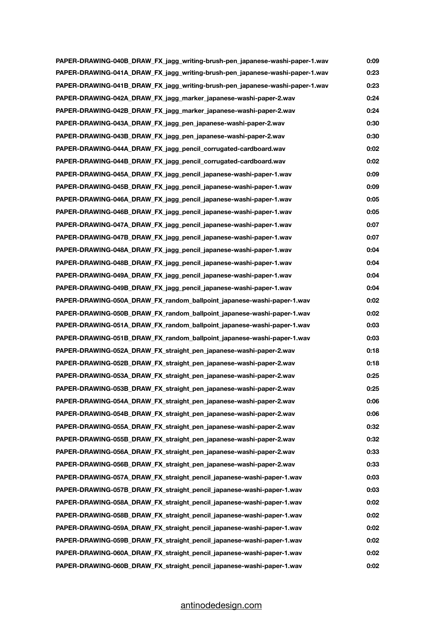| PAPER-DRAWING-040B_DRAW_FX_jagg_writing-brush-pen_japanese-washi-paper-1.wav | 0:09 |
|------------------------------------------------------------------------------|------|
| PAPER-DRAWING-041A_DRAW_FX_jagg_writing-brush-pen_japanese-washi-paper-1.wav | 0:23 |
| PAPER-DRAWING-041B DRAW FX jagg writing-brush-pen japanese-washi-paper-1.wav | 0:23 |
| PAPER-DRAWING-042A_DRAW_FX_jagg_marker_japanese-washi-paper-2.wav            | 0:24 |
| PAPER-DRAWING-042B_DRAW_FX_jagg_marker_japanese-washi-paper-2.wav            | 0:24 |
| PAPER-DRAWING-043A_DRAW_FX_jagg_pen_japanese-washi-paper-2.wav               | 0:30 |
| PAPER-DRAWING-043B_DRAW_FX_jagg_pen_japanese-washi-paper-2.wav               | 0:30 |
| PAPER-DRAWING-044A DRAW FX jagg pencil corrugated-cardboard.wav              | 0:02 |
| PAPER-DRAWING-044B_DRAW_FX_jagg_pencil_corrugated-cardboard.wav              | 0:02 |
| PAPER-DRAWING-045A_DRAW_FX_jagg_pencil_japanese-washi-paper-1.wav            | 0:09 |
| PAPER-DRAWING-045B_DRAW_FX_jagg_pencil_japanese-washi-paper-1.wav            | 0:09 |
| PAPER-DRAWING-046A_DRAW_FX_jagg_pencil_japanese-washi-paper-1.wav            | 0:05 |
| PAPER-DRAWING-046B_DRAW_FX_jagg_pencil_japanese-washi-paper-1.wav            | 0:05 |
| PAPER-DRAWING-047A_DRAW_FX_jagg_pencil_japanese-washi-paper-1.wav            | 0:07 |
| PAPER-DRAWING-047B DRAW FX jagg pencil japanese-washi-paper-1.wav            | 0:07 |
| PAPER-DRAWING-048A_DRAW_FX_jagg_pencil_japanese-washi-paper-1.wav            | 0:04 |
| PAPER-DRAWING-048B_DRAW_FX_jagg_pencil_japanese-washi-paper-1.wav            | 0:04 |
| PAPER-DRAWING-049A_DRAW_FX_jagg_pencil_japanese-washi-paper-1.wav            | 0:04 |
| PAPER-DRAWING-049B_DRAW_FX_jagg_pencil_japanese-washi-paper-1.wav            | 0:04 |
| PAPER-DRAWING-050A DRAW FX random ballpoint japanese-washi-paper-1.wav       | 0:02 |
| PAPER-DRAWING-050B DRAW FX random ballpoint japanese-washi-paper-1.wav       | 0:02 |
| PAPER-DRAWING-051A_DRAW_FX_random_ballpoint_japanese-washi-paper-1.wav       | 0:03 |
| PAPER-DRAWING-051B_DRAW_FX_random_ballpoint_japanese-washi-paper-1.wav       | 0:03 |
| PAPER-DRAWING-052A_DRAW_FX_straight_pen_japanese-washi-paper-2.wav           | 0:18 |
| PAPER-DRAWING-052B_DRAW_FX_straight_pen_japanese-washi-paper-2.wav           | 0:18 |
| PAPER-DRAWING-053A DRAW FX straight pen japanese-washi-paper-2.wav           | 0:25 |
| PAPER-DRAWING-053B_DRAW_FX_straight_pen_japanese-washi-paper-2.wav           | 0:25 |
| PAPER-DRAWING-054A_DRAW_FX_straight_pen_japanese-washi-paper-2.wav           | 0:06 |
| PAPER-DRAWING-054B_DRAW_FX_straight_pen_japanese-washi-paper-2.wav           | 0:06 |
| PAPER-DRAWING-055A_DRAW_FX_straight_pen_japanese-washi-paper-2.wav           | 0:32 |
| PAPER-DRAWING-055B DRAW FX straight pen japanese-washi-paper-2.wav           | 0:32 |
| PAPER-DRAWING-056A_DRAW_FX_straight_pen_japanese-washi-paper-2.wav           | 0:33 |
| PAPER-DRAWING-056B_DRAW_FX_straight_pen_japanese-washi-paper-2.wav           | 0:33 |
| PAPER-DRAWING-057A DRAW FX straight pencil japanese-washi-paper-1.wav        | 0:03 |
| PAPER-DRAWING-057B_DRAW_FX_straight_pencil_japanese-washi-paper-1.wav        | 0:03 |
| PAPER-DRAWING-058A_DRAW_FX_straight_pencil_japanese-washi-paper-1.wav        | 0:02 |
| PAPER-DRAWING-058B_DRAW_FX_straight_pencil_japanese-washi-paper-1.wav        | 0:02 |
| PAPER-DRAWING-059A_DRAW_FX_straight_pencil_japanese-washi-paper-1.wav        | 0:02 |
| PAPER-DRAWING-059B_DRAW_FX_straight_pencil_japanese-washi-paper-1.wav        | 0:02 |
| PAPER-DRAWING-060A_DRAW_FX_straight_pencil_japanese-washi-paper-1.wav        | 0:02 |
| PAPER-DRAWING-060B_DRAW_FX_straight_pencil_japanese-washi-paper-1.wav        | 0:02 |

## [antinodedesign.com](http://antinodedesign.com)